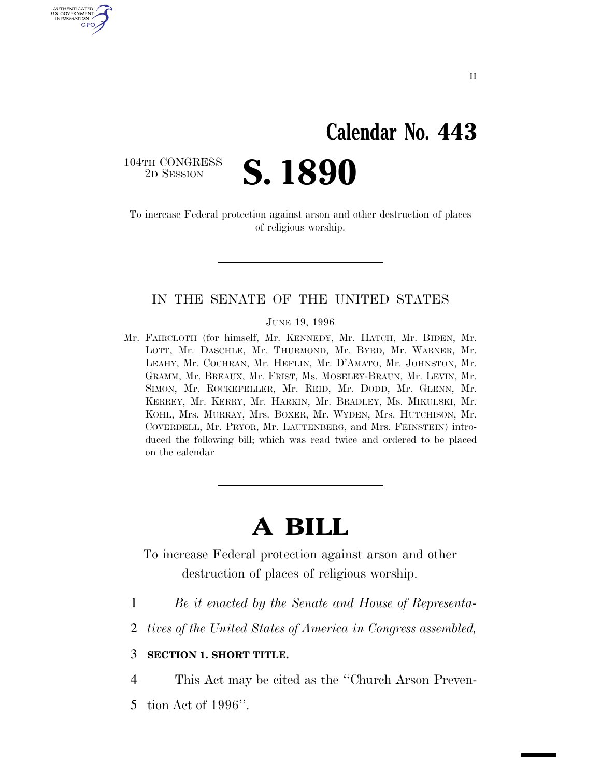# **Calendar No. 443**

104TH CONGRESS<br>2D SESSION

U.S. GOVERNMENT GPO

2D SESSION **S. 1890**

To increase Federal protection against arson and other destruction of places of religious worship.

#### IN THE SENATE OF THE UNITED STATES

JUNE 19, 1996

Mr. FAIRCLOTH (for himself, Mr. KENNEDY, Mr. HATCH, Mr. BIDEN, Mr. LOTT, Mr. DASCHLE, Mr. THURMOND, Mr. BYRD, Mr. WARNER, Mr. LEAHY, Mr. COCHRAN, Mr. HEFLIN, Mr. D'AMATO, Mr. JOHNSTON, Mr. GRAMM, Mr. BREAUX, Mr. FRIST, Ms. MOSELEY-BRAUN, Mr. LEVIN, Mr. SIMON, Mr. ROCKEFELLER, Mr. REID, Mr. DODD, Mr. GLENN, Mr. KERREY, Mr. KERRY, Mr. HARKIN, Mr. BRADLEY, Ms. MIKULSKI, Mr. KOHL, Mrs. MURRAY, Mrs. BOXER, Mr. WYDEN, Mrs. HUTCHISON, Mr. COVERDELL, Mr. PRYOR, Mr. LAUTENBERG, and Mrs. FEINSTEIN) introduced the following bill; which was read twice and ordered to be placed on the calendar

## **A BILL**

To increase Federal protection against arson and other destruction of places of religious worship.

- 1 *Be it enacted by the Senate and House of Representa-*
- 2 *tives of the United States of America in Congress assembled,*

#### 3 **SECTION 1. SHORT TITLE.**

4 This Act may be cited as the ''Church Arson Preven-

5 tion Act of 1996''.

II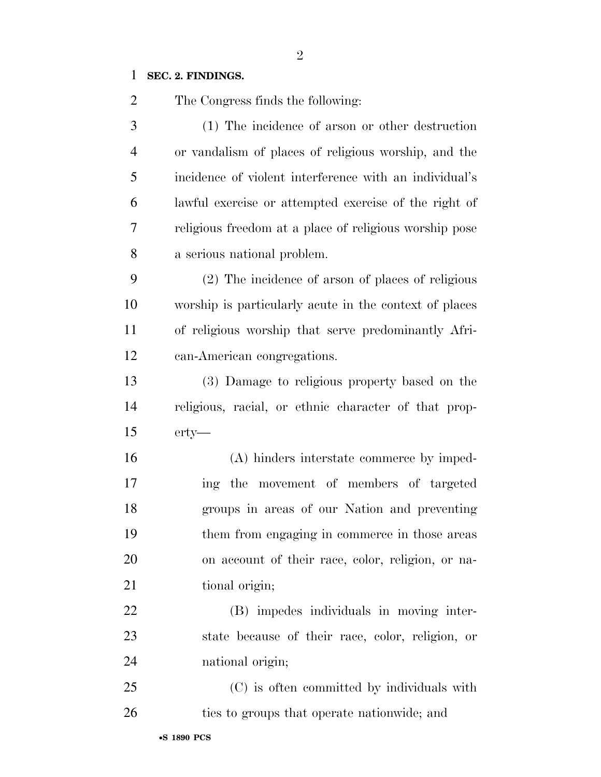#### **SEC. 2. FINDINGS.**

The Congress finds the following:

 (1) The incidence of arson or other destruction or vandalism of places of religious worship, and the incidence of violent interference with an individual's lawful exercise or attempted exercise of the right of religious freedom at a place of religious worship pose a serious national problem.

 (2) The incidence of arson of places of religious worship is particularly acute in the context of places of religious worship that serve predominantly Afri-can-American congregations.

 (3) Damage to religious property based on the religious, racial, or ethnic character of that prop-erty—

 (A) hinders interstate commerce by imped- ing the movement of members of targeted groups in areas of our Nation and preventing them from engaging in commerce in those areas on account of their race, color, religion, or na-21 tional origin;

 (B) impedes individuals in moving inter- state because of their race, color, religion, or national origin;

 (C) is often committed by individuals with 26 ties to groups that operate nationwide; and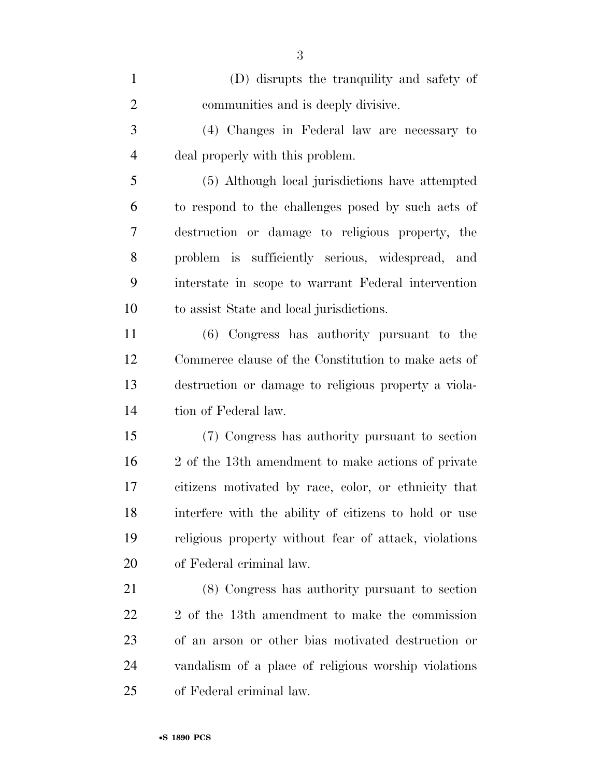| $\mathbf{1}$   | (D) disrupts the tranquility and safety of            |
|----------------|-------------------------------------------------------|
| $\overline{2}$ | communities and is deeply divisive.                   |
| 3              | (4) Changes in Federal law are necessary to           |
| $\overline{4}$ | deal properly with this problem.                      |
| 5              | (5) Although local jurisdictions have attempted       |
| 6              | to respond to the challenges posed by such acts of    |
| 7              | destruction or damage to religious property, the      |
| 8              | problem is sufficiently serious, widespread, and      |
| 9              | interstate in scope to warrant Federal intervention   |
| 10             | to assist State and local jurisdictions.              |
| 11             | (6) Congress has authority pursuant to the            |
| 12             | Commerce clause of the Constitution to make acts of   |
| 13             | destruction or damage to religious property a viola-  |
| 14             | tion of Federal law.                                  |
| 15             | (7) Congress has authority pursuant to section        |
| 16             | 2 of the 13th amendment to make actions of private    |
| 17             | citizens motivated by race, color, or ethnicity that  |
| 18             | interfere with the ability of citizens to hold or use |
| 19             | religious property without fear of attack, violations |
| 20             | of Federal criminal law.                              |
| 21             | (8) Congress has authority pursuant to section        |
| <u>22</u>      | 2 of the 13th amendment to make the commission        |
| 23             | of an arson or other bias motivated destruction or    |
| 24             | vandalism of a place of religious worship violations  |
| 25             | of Federal criminal law.                              |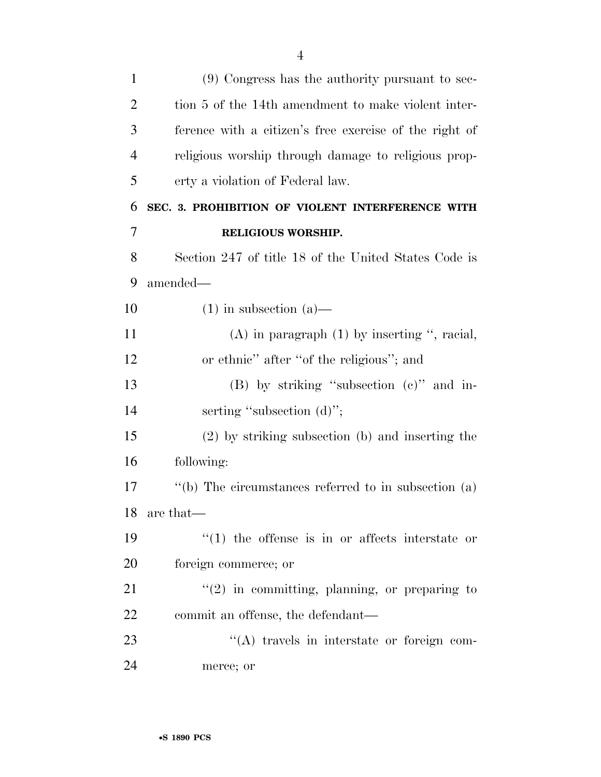| $\mathbf{1}$   | $(9)$ Congress has the authority pursuant to sec-           |
|----------------|-------------------------------------------------------------|
| $\overline{2}$ | tion 5 of the 14th amendment to make violent inter-         |
| 3              | ference with a citizen's free exercise of the right of      |
| $\overline{4}$ | religious worship through damage to religious prop-         |
| 5              | erty a violation of Federal law.                            |
| 6              | SEC. 3. PROHIBITION OF VIOLENT INTERFERENCE WITH            |
| 7              | RELIGIOUS WORSHIP.                                          |
| 8              | Section 247 of title 18 of the United States Code is        |
| 9              | amended—                                                    |
| 10             | $(1)$ in subsection $(a)$ —                                 |
| 11             | $(A)$ in paragraph $(1)$ by inserting ", racial,            |
| 12             | or ethnic" after "of the religious"; and                    |
| 13             | $(B)$ by striking "subsection $(c)$ " and in-               |
| 14             | serting "subsection (d)";                                   |
| 15             | (2) by striking subsection (b) and inserting the            |
| 16             | following:                                                  |
| 17             | $\lq\lq(b)$ The circumstances referred to in subsection (a) |
| 18             | are that—                                                   |
| 19             | $(1)$ the offense is in or affects interstate or            |
| 20             | foreign commerce; or                                        |
| 21             | $f'(2)$ in committing, planning, or preparing to            |
| 22             | commit an offense, the defendant—                           |
| 23             | "(A) travels in interstate or foreign com-                  |
| 24             | merce; or                                                   |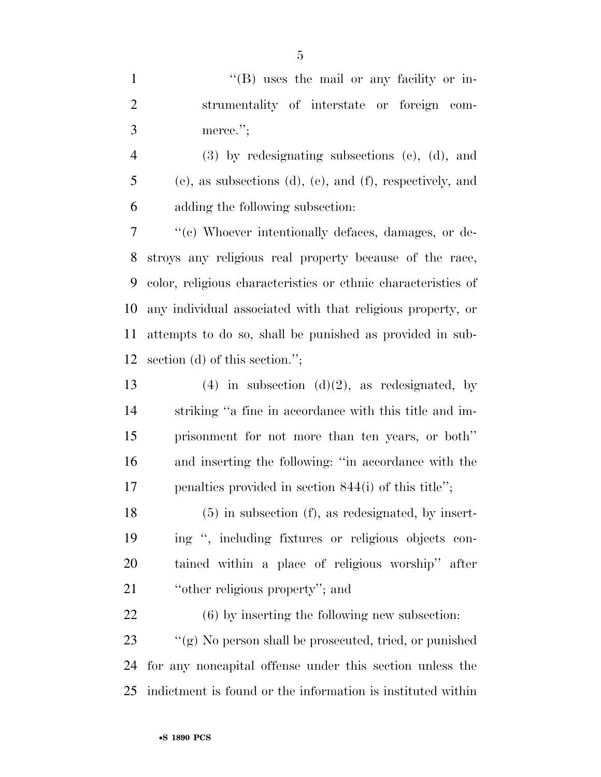1 ''(B) uses the mail or any facility or in- strumentality of interstate or foreign com-merce.'';

 (3) by redesignating subsections (c), (d), and (e), as subsections (d), (e), and (f), respectively, and adding the following subsection:

 ''(c) Whoever intentionally defaces, damages, or de- stroys any religious real property because of the race, color, religious characteristics or ethnic characteristics of any individual associated with that religious property, or attempts to do so, shall be punished as provided in sub-section (d) of this section.'';

13 (4) in subsection  $(d)(2)$ , as redesignated, by striking ''a fine in accordance with this title and im- prisonment for not more than ten years, or both'' and inserting the following: ''in accordance with the penalties provided in section 844(i) of this title'';

 (5) in subsection (f), as redesignated, by insert- ing '', including fixtures or religious objects con- tained within a place of religious worship'' after 21 "other religious property"; and

 (6) by inserting the following new subsection: ''(g) No person shall be prosecuted, tried, or punished for any noncapital offense under this section unless the indictment is found or the information is instituted within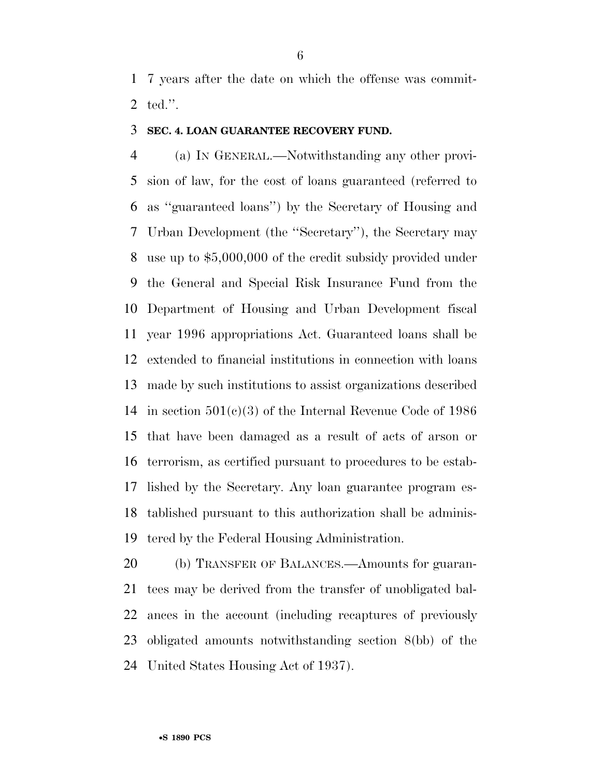7 years after the date on which the offense was commit-ted.''.

#### **SEC. 4. LOAN GUARANTEE RECOVERY FUND.**

 (a) IN GENERAL.—Notwithstanding any other provi- sion of law, for the cost of loans guaranteed (referred to as ''guaranteed loans'') by the Secretary of Housing and Urban Development (the ''Secretary''), the Secretary may use up to \$5,000,000 of the credit subsidy provided under the General and Special Risk Insurance Fund from the Department of Housing and Urban Development fiscal year 1996 appropriations Act. Guaranteed loans shall be extended to financial institutions in connection with loans made by such institutions to assist organizations described in section 501(c)(3) of the Internal Revenue Code of 1986 that have been damaged as a result of acts of arson or terrorism, as certified pursuant to procedures to be estab- lished by the Secretary. Any loan guarantee program es- tablished pursuant to this authorization shall be adminis-tered by the Federal Housing Administration.

 (b) TRANSFER OF BALANCES.—Amounts for guaran- tees may be derived from the transfer of unobligated bal- ances in the account (including recaptures of previously obligated amounts notwithstanding section 8(bb) of the United States Housing Act of 1937).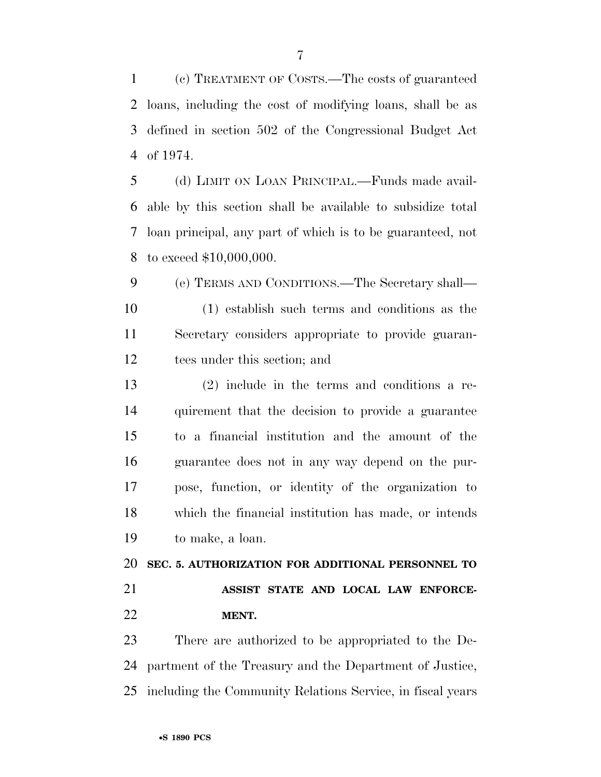(c) TREATMENT OF COSTS.—The costs of guaranteed loans, including the cost of modifying loans, shall be as defined in section 502 of the Congressional Budget Act of 1974.

 (d) LIMIT ON LOAN PRINCIPAL.—Funds made avail- able by this section shall be available to subsidize total loan principal, any part of which is to be guaranteed, not to exceed \$10,000,000.

 (e) TERMS AND CONDITIONS.—The Secretary shall— (1) establish such terms and conditions as the Secretary considers appropriate to provide guaran-tees under this section; and

 (2) include in the terms and conditions a re- quirement that the decision to provide a guarantee to a financial institution and the amount of the guarantee does not in any way depend on the pur- pose, function, or identity of the organization to which the financial institution has made, or intends to make, a loan.

 **SEC. 5. AUTHORIZATION FOR ADDITIONAL PERSONNEL TO ASSIST STATE AND LOCAL LAW ENFORCE-**

**MENT.**

 There are authorized to be appropriated to the De- partment of the Treasury and the Department of Justice, including the Community Relations Service, in fiscal years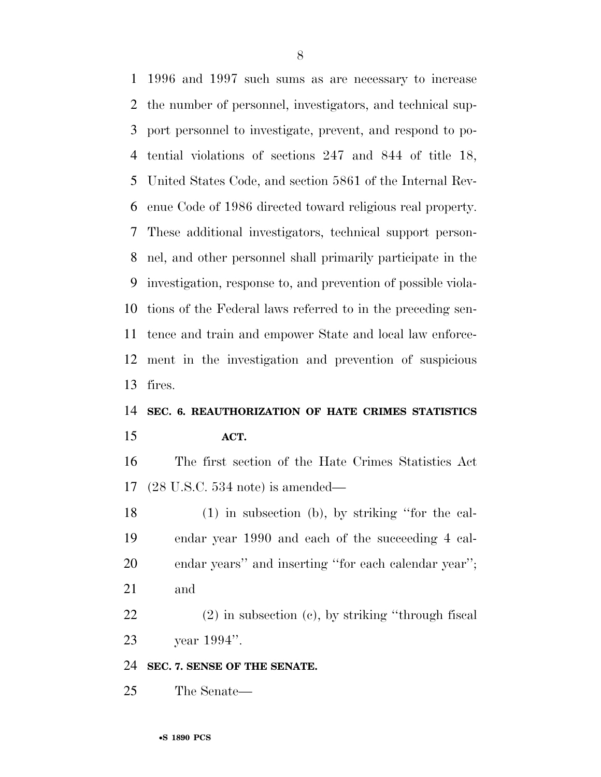1996 and 1997 such sums as are necessary to increase the number of personnel, investigators, and technical sup- port personnel to investigate, prevent, and respond to po- tential violations of sections 247 and 844 of title 18, United States Code, and section 5861 of the Internal Rev- enue Code of 1986 directed toward religious real property. These additional investigators, technical support person- nel, and other personnel shall primarily participate in the investigation, response to, and prevention of possible viola- tions of the Federal laws referred to in the preceding sen- tence and train and empower State and local law enforce- ment in the investigation and prevention of suspicious fires.

### **SEC. 6. REAUTHORIZATION OF HATE CRIMES STATISTICS ACT.**

 The first section of the Hate Crimes Statistics Act (28 U.S.C. 534 note) is amended—

 (1) in subsection (b), by striking ''for the cal- endar year 1990 and each of the succeeding 4 cal- endar years'' and inserting ''for each calendar year''; and

 (2) in subsection (c), by striking ''through fiscal year 1994''.

**SEC. 7. SENSE OF THE SENATE.**

The Senate—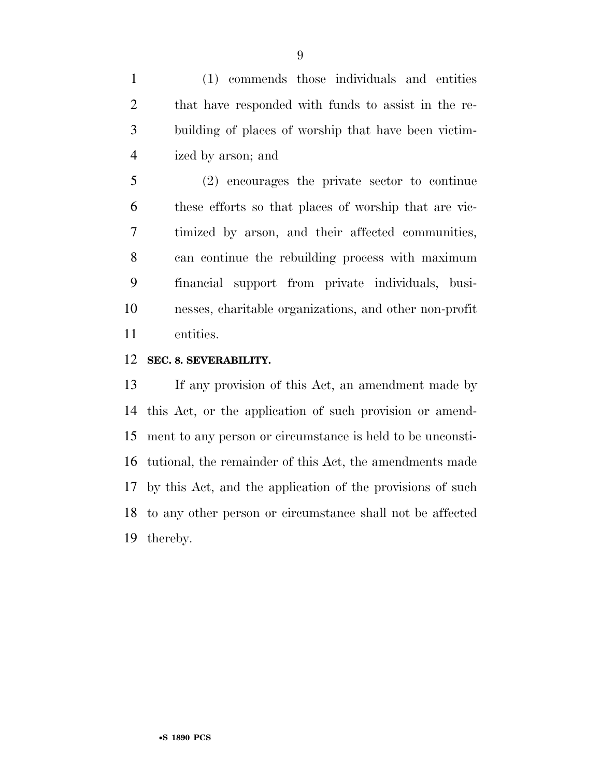(1) commends those individuals and entities that have responded with funds to assist in the re- building of places of worship that have been victim-ized by arson; and

 (2) encourages the private sector to continue these efforts so that places of worship that are vic- timized by arson, and their affected communities, can continue the rebuilding process with maximum financial support from private individuals, busi- nesses, charitable organizations, and other non-profit entities.

#### **SEC. 8. SEVERABILITY.**

 If any provision of this Act, an amendment made by this Act, or the application of such provision or amend- ment to any person or circumstance is held to be unconsti- tutional, the remainder of this Act, the amendments made by this Act, and the application of the provisions of such to any other person or circumstance shall not be affected thereby.